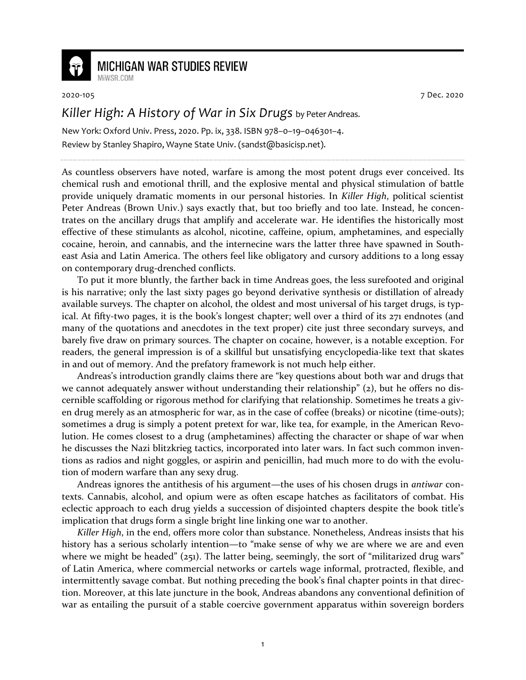

## **MICHIGAN WAR STUDIES REVIEW**

MiWSR COM

2020-105 7 Dec. 2020

## *Killer High: A History of War in Six Drugs* by Peter Andreas.

New York: Oxford Univ. Press, 2020. Pp. ix, 338. ISBN 978–0–19–046301–4. Review by Stanley Shapiro, Wayne State Univ. (sandst@basicisp.net).

As countless observers have noted, warfare is among the most potent drugs ever conceived. Its chemical rush and emotional thrill, and the explosive mental and physical stimulation of battle provide uniquely dramatic moments in our personal histories. In *Killer High*, political scientist Peter Andreas (Brown Univ.) says exactly that, but too briefly and too late. Instead, he concentrates on the ancillary drugs that amplify and accelerate war. He identifies the historically most effective of these stimulants as alcohol, nicotine, caffeine, opium, amphetamines, and especially cocaine, heroin, and cannabis, and the internecine wars the latter three have spawned in Southeast Asia and Latin America. The others feel like obligatory and cursory additions to a long essay on contemporary drug-drenched conflicts.

To put it more bluntly, the farther back in time Andreas goes, the less surefooted and original is his narrative; only the last sixty pages go beyond derivative synthesis or distillation of already available surveys. The chapter on alcohol, the oldest and most universal of his target drugs, is typical. At fifty-two pages, it is the book's longest chapter; well over a third of its 271 endnotes (and many of the quotations and anecdotes in the text proper) cite just three secondary surveys, and barely five draw on primary sources. The chapter on cocaine, however, is a notable exception. For readers, the general impression is of a skillful but unsatisfying encyclopedia-like text that skates in and out of memory. And the prefatory framework is not much help either.

Andreas's introduction grandly claims there are "key questions about both war and drugs that we cannot adequately answer without understanding their relationship"  $(z)$ , but he offers no discernible scaffolding or rigorous method for clarifying that relationship. Sometimes he treats a given drug merely as an atmospheric for war, as in the case of coffee (breaks) or nicotine (time-outs); sometimes a drug is simply a potent pretext for war, like tea, for example, in the American Revolution. He comes closest to a drug (amphetamines) affecting the character or shape of war when he discusses the Nazi blitzkrieg tactics, incorporated into later wars. In fact such common inventions as radios and night goggles, or aspirin and penicillin, had much more to do with the evolution of modern warfare than any sexy drug.

Andreas ignores the antithesis of his argument—the uses of his chosen drugs in *antiwar* contexts. Cannabis, alcohol, and opium were as often escape hatches as facilitators of combat. His eclectic approach to each drug yields a succession of disjointed chapters despite the book title's implication that drugs form a single bright line linking one war to another.

*Killer High*, in the end, offers more color than substance. Nonetheless, Andreas insists that his history has a serious scholarly intention—to "make sense of why we are where we are and even where we might be headed" (251). The latter being, seemingly, the sort of "militarized drug wars" of Latin America, where commercial networks or cartels wage informal, protracted, flexible, and intermittently savage combat. But nothing preceding the book's final chapter points in that direction. Moreover, at this late juncture in the book, Andreas abandons any conventional definition of war as entailing the pursuit of a stable coercive government apparatus within sovereign borders